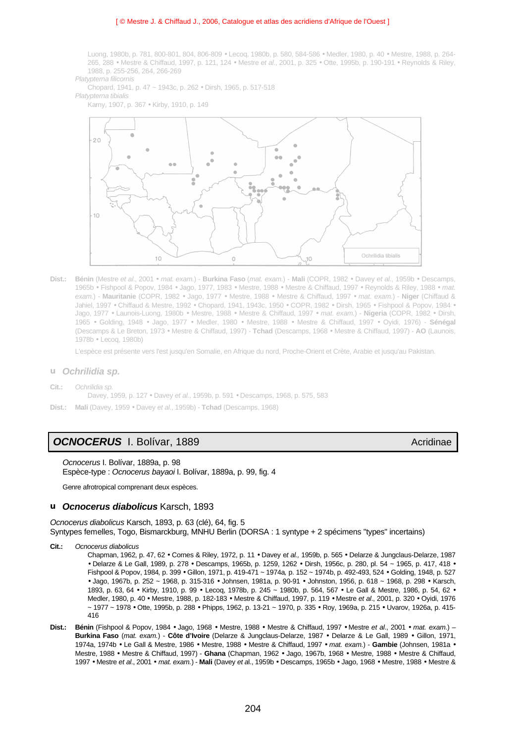## [ © Mestre J. & Chiffaud J., 2006, Catalogue et atlas des acridiens d'Afrique de l'Ouest ]

Luong, 1980b, p. 781, 800-801, 804, 806-809 • Lecoq, 1980b, p. 580, 584-586 • Medler, 1980, p. 40 • Mestre, 1988, p. 264- 265, 288 • Mestre & Chiffaud, 1997, p. 121, 124 • Mestre *et al*., 2001, p. 325 • Otte, 1995b, p. 190-191 • Reynolds & Riley, 1988, p. 255-256, 264, 266-269

*Platypterna filicornis*

Chopard, 1941, p. 47 ~ 1943c, p. 262 • Dirsh, 1965, p. 517-518

*Platypterna tibialis*

Karny, 1907, p. 367 • Kirby, 1910, p. 149



**Dist.: Bénin** (Mestre *et al*., 2001 • *mat. exam.*) - **Burkina Faso** (*mat. exam.*) - **Mali** (COPR, 1982 • Davey *et al.*, 1959b • Descamps, 1965b • Fishpool & Popov, 1984 • Jago, 1977, 1983 • Mestre, 1988 • Mestre & Chiffaud, 1997 • Reynolds & Riley, 1988 • *mat. exam.*) - **Mauritanie** (COPR, 1982 • Jago, 1977 • Mestre, 1988 • Mestre & Chiffaud, 1997 • *mat. exam.*) - **Niger** (Chiffaud & Jahiel, 1997 • Chiffaud & Mestre, 1992 • Chopard, 1941, 1943c, 1950 • COPR, 1982 • Dirsh, 1965 • Fishpool & Popov, 1984 • Jago, 1977 • Launois-Luong, 1980b • Mestre, 1988 • Mestre & Chiffaud, 1997 • *mat. exam.*) - **Nigeria** (COPR, 1982 • Dirsh, 1965 • Golding, 1948 • Jago, 1977 • Medler, 1980 • Mestre, 1988 • Mestre & Chiffaud, 1997 • Oyidi, 1976) - **Sénégal** (Descamps & Le Breton, 1973 • Mestre & Chiffaud, 1997) - **Tchad** (Descamps, 1968 • Mestre & Chiffaud, 1997) - **AO** (Launois, 1978b • Lecoq, 1980b)

L'espèce est présente vers l'est jusqu'en Somalie, en Afrique du nord, Proche-Orient et Crète, Arabie et jusqu'au Pakistan.

## **u** *Ochrilidia sp.*

**Cit.:** *Ochrilidia sp.* Davey, 1959, p. 127 • Davey *et al*., 1959b, p. 591 • Descamps, 1968, p. 575, 583

**Dist.: Mali** (Davey, 1959 • Davey *et al*., 1959b) - **Tchad** (Descamps, 1968)

# **OCNOCERUS** I. Bolívar, 1889 **Acridinae** Acridinae Acridinae

*Ocnocerus* I. Bolívar, 1889a, p. 98 Espèce-type : *Ocnocerus bayaoi* I. Bolívar, 1889a, p. 99, fig. 4

Genre afrotropical comprenant deux espèces.

## **u** *Ocnocerus diabolicus* Karsch, 1893

*Ocnocerus diabolicus* Karsch, 1893, p. 63 (clé), 64, fig. 5 Syntypes femelles, Togo, Bismarckburg, MNHU Berlin (DORSA : 1 syntype + 2 spécimens "types" incertains)

**Cit.:** *Ocnocerus diabolicus*

Chapman, 1962*,* p. 47, 62 • Cornes & Riley, 1972, p. 11 • Davey e*t al.,* 1959b, p. 565 • Delarze & Jungclaus-Delarze, 1987 • Delarze & Le Gall, 1989, p. 278 • Descamps, 1965b, p. 1259, 1262 • Dirsh, 1956c, p. 280, pl. 54 ~ 1965, p. 417, 418 • Fishpool & Popov, 1984*,* p. 399 • Gillon, 1971, p. 419-471 ~ 1974a*,* p. 152 ~ 1974b, p. 492-493, 524 • Golding, 1948, p. 527 • Jago, 1967b, p. 252 ~ 1968, p. 315-316 • Johnsen, 1981a, p. 90-91 • Johnston, 1956, p. 618 ~ 1968, p. 298 • Karsch, 1893, p. 63, 64 • Kirby, 1910, p. 99 • Lecoq, 1978b, p. 245 ~ 1980b, p. 564, 567 • Le Gall & Mestre, 1986, p. 54, 62 • Medler, 1980, p. 40 • Mestre, 1988, p. 182-183 • Mestre & Chiffaud, 1997, p. 119 • Mestre *et al*., 2001, p. 320 • Oyidi, 1976 ~ 1977 ~ 1978 • Otte, 1995b, p. 288 • Phipps, 1962, p. 13-21 ~ 1970, p. 335 • Roy, 1969a, p. 215 • Uvarov, 1926a, p. 415- 416

**Dist.: Bénin** (Fishpool & Popov, 1984 • Jago, 1968 • Mestre, 1988 • Mestre & Chiffaud, 1997 • Mestre *et al*., 2001 • *mat. exam.*) – **Burkina Faso** (*mat. exam.*) - **Côte d'Ivoire** (Delarze & Jungclaus-Delarze, 1987 • Delarze & Le Gall, 1989 • Gillon, 1971, 1974a, 1974b • Le Gall & Mestre, 1986 • Mestre, 1988 • Mestre & Chiffaud, 1997 • *mat. exam.*) - **Gambie** (Johnsen, 1981a • Mestre, 1988 • Mestre & Chiffaud, 1997) - **Ghana** (Chapman, 1962 • Jago, 1967b, 1968 • Mestre, 1988 • Mestre & Chiffaud, 1997 • Mestre *et al*., 2001 • *mat. exam.*) - **Mali** (Davey *et a*l., 1959b • Descamps, 1965b • Jago, 1968 • Mestre, 1988 • Mestre &